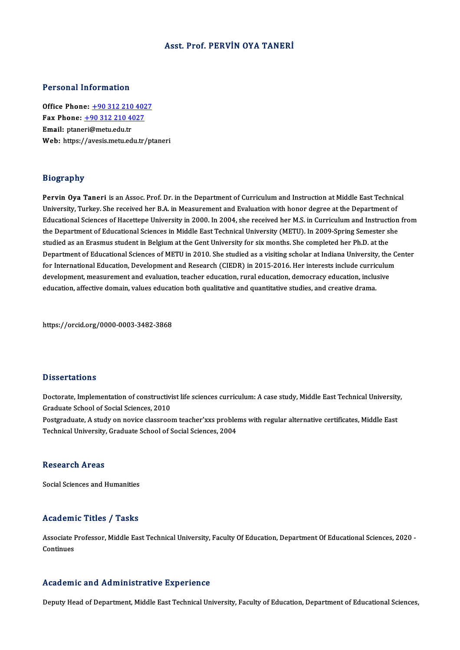### Asst. Prof. PERVİN OYA TANERİ

### Personal Information

**Personal Information<br>Office Phone: +90 312 210 4027<br>Fax Phone: +90 312 210 4027** Fax Phone: <u>+90 312 210 402</u><br>Fax Phone: <u>+90 312 210 4027</u><br>Fmail: ntanexi@metu.edu.tr Office Phone: <u>+90 312 210</u><br>Fax Phone: <u>+90 312 210 40</u><br>Email: ptane[ri@metu.edu.tr](tel:+90 312 210 4027) Fax Phone:  $\pm$ 90 312 210 4027<br>Email: ptaneri@metu.edu.tr<br>Web: https://avesis.metu.edu.tr/ptaneri

### Biography

Biography<br>Pervin Oya Taneri is an Assoc. Prof. Dr. in the Department of Curriculum and Instruction at Middle East Technical<br>University Turkey, She reseived her P.A. in Measurement and Evaluation with bener degree at the De University,<br>Pervin Oya Taneri is an Assoc. Prof. Dr. in the Department of Curriculum and Instruction at Middle East Technic<br>University, Turkey. She received her B.A. in Measurement and Evaluation with honor degree at the D Pervin Oya Taneri is an Assoc. Prof. Dr. in the Department of Curriculum and Instruction at Middle East Technical<br>University, Turkey. She received her B.A. in Measurement and Evaluation with honor degree at the Department University, Turkey. She received her B.A. in Measurement and Evaluation with honor degree at the Department of<br>Educational Sciences of Hacettepe University in 2000. In 2004, she received her M.S. in Curriculum and Instruct Educational Sciences of Hacettepe University in 2000. In 2004, she received her M.S. in Curriculum and Instruct<br>the Department of Educational Sciences in Middle East Technical University (METU). In 2009-Spring Semester s<br>s the Department of Educational Sciences in Middle East Technical University (METU). In 2009-Spring Semester she<br>studied as an Erasmus student in Belgium at the Gent University for six months. She completed her Ph.D. at the<br> studied as an Erasmus student in Belgium at the Gent University for six months. She completed her Ph.D. at the<br>Department of Educational Sciences of METU in 2010. She studied as a visiting scholar at Indiana University, th Department of Educational Sciences of METU in 2010. She studied as a visiting scholar at Indiana University, the<br>for International Education, Development and Research (CIEDR) in 2015-2016. Her interests include curriculun<br> for International Education, Development and Research (CIEDR) in 2015-2016. Her interests include curric<br>development, measurement and evaluation, teacher education, rural education, democracy education, inclu<br>education, af

https://orcid.org/0000-0003-3482-3868

### **Dissertations**

Dissertations<br>Doctorate, Implementation of constructivist life sciences curriculum: A case study, Middle East Technical University,<br>Creduate School of Social Sciences, 2010 Braduate School<br>Doctorate, Implementation of constructivi<br>Graduate School of Social Sciences, 2010<br>Bostanaduate A study on novice sleesneed Doctorate, Implementation of constructivist life sciences curriculum: A case study, Middle East Technical University<br>Graduate School of Social Sciences, 2010<br>Postgraduate, A study on novice classroom teacher'xxs problems w

Graduate School of Social Sciences, 2010<br>Postgraduate, A study on novice classroom teacher'xxs problems with regular alternative certificates, Middle East<br>Technical University, Graduate School of Social Sciences, 2004

### Research Areas

Social Sciences and Humanities

### Academic Titles / Tasks

Academic Titles / Tasks<br>Associate Professor, Middle East Technical University, Faculty Of Education, Department Of Educational Sciences, 2020 -<br>Continues Associate I<br>Continues Academic and Administrative Experience

Deputy Head of Department, Middle East Technical University, Faculty of Education, Department of Educational Sciences,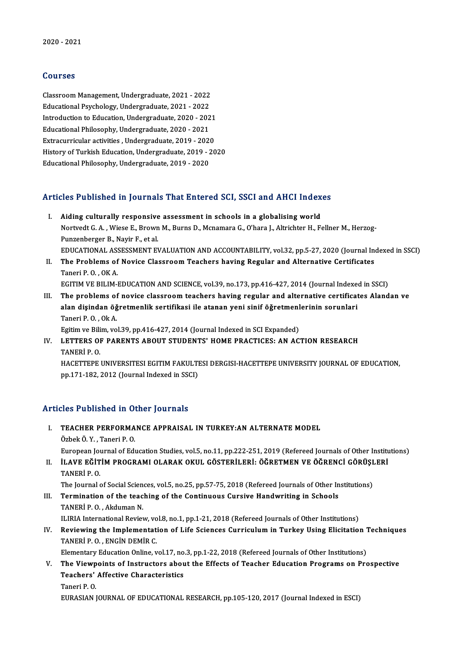### Courses

Courses<br>Classroom Management, Undergraduate, 2021 - 2022<br>Educational Pevchology, Undergraduate, 2021 - 2022 Sources<br>Classroom Management, Undergraduate, 2021 - 2022<br>Educational Psychology, Undergraduate, 2021 - 2022<br>Introduction to Education, Undergraduate, 2020, 202 Classroom Management, Undergraduate, 2021 - 2022<br>Educational Psychology, Undergraduate, 2021 - 2022<br>Introduction to Education, Undergraduate, 2020 - 2021<br>Educational Philosophy, Undergraduate, 2020 - 2021 Educational Psychology, Undergraduate, 2021 - 2022<br>Introduction to Education, Undergraduate, 2020 - 202<br>Educational Philosophy, Undergraduate, 2020 - 2021<br>Extregurations activities, Undergraduate, 2019, 2024 Introduction to Education, Undergraduate, 2020 - 2021<br>Educational Philosophy, Undergraduate, 2020 - 2021<br>Extracurricular activities , Undergraduate, 2019 - 2020<br>History of Turkish Education, Undergraduate, 2019 - 20 Educational Philosophy, Undergraduate, 2020 - 2021<br>Extracurricular activities , Undergraduate, 2019 - 2020<br>History of Turkish Education, Undergraduate, 2019 - 2020 EducationalPhilosophy,Undergraduate,2019 -2020

# Articles Published in Journals That Entered SCI, SSCI and AHCI Indexes

- rticles Published in Journals That Entered SCI, SSCI and AHCI Index<br>I. Aiding culturally responsive assessment in schools in a globalising world<br>Natural C.A. Wisse E. Brown M. Burne D. Meramare C. O'bare L. Altrichten H. E Nortvedt G. A. , Wiese E., Brown M., Burns D., Mcnamara G., O'hara J., Altrichter H., Fellner M., Herzog-<br>Punzenberger B., Nayir F., et al. I. Aiding culturally responsive assessment in schools in a globalising world EDUCATIONAL ASSESSMENT EVALUATION AND ACCOUNTABILITY, vol.32, pp.5-27, 2020 (Journal Indexed in SSCI) Punzenberger B., Nayir F., et al.<br>EDUCATIONAL ASSESSMENT EVALUATION AND ACCOUNTABILITY, vol.32, pp.5-27, 2020 (Journal Incredit Certificates<br>II. The Problems of Novice Classroom Teachers having Regular and Alternative Cert
- EDUCATIONAL ASS<br>The Problems of<br>Taneri P. O. , OK A.<br>ECITIM VE PILIM I The Problems of Novice Classroom Teachers having Regular and Alternative Certificates<br>Taneri P. O. , OK A.<br>EGITIM VE BILIM-EDUCATION AND SCIENCE, vol.39, no.173, pp.416-427, 2014 (Journal Indexed in SSCI)<br>The problems of p
- Taneri P. O. , OK A.<br>EGITIM VE BILIM-EDUCATION AND SCIENCE, vol.39, no.173, pp.416-427, 2014 (Journal Indexed in SSCI)<br>III. The problems of novice classroom teachers having regular and alternative certificates Alandan ve<br>a EGITIM VE BILIM-EDUCATION AND SCIENCE, vol.39, no.173, pp.416-427, 2014 (Journal Indexent)<br>The problems of novice classroom teachers having regular and alternative certificat<br>alan dişindan öğretmenlik sertifikasi ile atana The problems of<br>alan dişindan öğ<br>Taneri P. O. , Ok A.<br>Egitim ve Bilim ve alan dişindan öğretmenlik sertifikasi ile atanan yeni sinif öğretmenlerinin sorunlari<br>Taneri P.O., Ok A.

Egitim ve Bilim, vol.39, pp.416-427, 2014 (Journal Indexed in SCI Expanded)

IV. LETTERS OF PARENTS ABOUT STUDENTS' HOME PRACTICES: AN ACTION RESEARCH

HACETTEPE UNIVERSITESI EGITIM FAKULTESI DERGISI-HACETTEPE UNIVERSITY JOURNAL OF EDUCATION, pp.171-182, 2012 (Journal Indexed in SSCI)

### Articles Published in Other Journals

- I. TEACHER PERFORMANCE APPRAISAL IN TURKEY: AN ALTERNATE MODEL ÖzbekÖ.Y. ,TaneriP.O. TEACHER PERFORMANCE APPRAISAL IN TURKEY:AN ALTERNATE MODEL<br>Özbek Ö. Y. , Taneri P. O.<br>European Journal of Education Studies, vol.5, no.11, pp.222-251, 2019 (Refereed Journals of Other Institutions)<br>ILAVE EČITIM PROCRAMI OL Özbek Ö. Y. , Taneri P. O.<br>European Journal of Education Studies, vol.5, no.11, pp.222-251, 2019 (Refereed Journals of Other Institution<br>II. ILAVE EĞİTİM PROGRAMI OLARAK OKUL GÖSTERİLERİ: ÖĞRETMEN VE ÖĞRENCİ GÖRÜŞLERİ<br>TANE
- European Jo<mark>l</mark><br>İLAVE EĞİT<br>TANERİ P. O.<br>The Journal e iLAVE EĞİTİM PROGRAMI OLARAK OKUL GÖSTERİLERİ: ÖĞRETMEN VE ÖĞRENCİ GÖRÜŞI<br>TANERİ P. O.<br>The Journal of Social Sciences, vol.5, no.25, pp.57-75, 2018 (Refereed Journals of Other Institutions)<br>Termination of the teaching of t

TANERİ P. O.<br>The Journal of Social Sciences, vol.5, no.25, pp.57-75, 2018 (Refereed Journals of Other In<br>III. Termination of the teaching of the Continuous Cursive Handwriting in Schools<br>TANERLE O. Akduman N The Journal of Social Scien<br>Termination of the teac<br>TANERÌ P. O. , Akduman N.<br>H IBLA International Bevier Termination of the teaching of the Continuous Cursive Handwriting in Schools<br>TANERİ P. O. , Akduman N.<br>ILIRIA International Review, vol.8, no.1, pp.1-21, 2018 (Refereed Journals of Other Institutions) TANERİ P. O. , Akduman N.<br>ILIRIA International Review, vol.8, no.1, pp.1-21, 2018 (Refereed Journals of Other Institutions)<br>IV. Reviewing the Implementation of Life Sciences Curriculum in Turkey Using Elicitation Techn

**ILIRIA International Review, vo<br>Reviewing the Implementat<br>TANERİ P. O. , ENGİN DEMİR C.<br>Flamentanu Education Opline v** Reviewing the Implementation of Life Sciences Curriculum in Turkey Using Elicitation 7<br>TANERİ P. O. , ENGİN DEMİR C.<br>Elementary Education Online, vol.17, no.3, pp.1-22, 2018 (Refereed Journals of Other Institutions)<br>The Vi

TANERİ P. O. , ENGİN DEMİR C.<br>Elementary Education Online, vol.17, no.3, pp.1-22, 2018 (Refereed Journals of Other Institutions)<br>V. The Viewpoints of Instructors about the Effects of Teacher Education Programs on Prospecti Elementary Education Online, vol.17, no.3, pp.1-22, 2018 (Refereed Journals of Other Institutions)<br>The Viewpoints of Instructors about the Effects of Teacher Education Programs on Pre<br>Teachers' Affective Characteristics<br>Ta The View<mark>p</mark><br>Teachers'<br>Taneri P. O.<br>FUPASIAN I

EURASIANJOURNALOF EDUCATIONALRESEARCH,pp.105-120,2017 (Journal Indexed inESCI)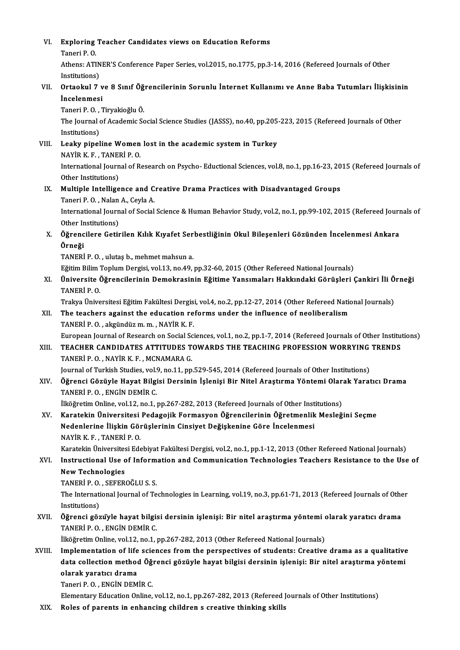| VI.    | Exploring Teacher Candidates views on Education Reforms                                                              |
|--------|----------------------------------------------------------------------------------------------------------------------|
|        | Taneri P.O.                                                                                                          |
|        | Athens: ATINER'S Conference Paper Series, vol.2015, no.1775, pp.3-14, 2016 (Refereed Journals of Other               |
|        | Institutions)                                                                                                        |
| VII.   | Ortaokul 7 ve 8 Sınıf Öğrencilerinin Sorunlu İnternet Kullanımı ve Anne Baba Tutumları İlişkisinin                   |
|        | Incelenmesi                                                                                                          |
|        | Taneri P.O., Tiryakioğlu Ö.                                                                                          |
|        | The Journal of Academic Social Science Studies (JASSS), no.40, pp.205-223, 2015 (Refereed Journals of Other          |
|        | Institutions)                                                                                                        |
| VIII.  | Leaky pipeline Women lost in the academic system in Turkey                                                           |
|        | NAYİR K F , TANERİ P O                                                                                               |
|        | International Journal of Research on Psycho-Eductional Sciences, vol.8, no.1, pp.16-23, 2015 (Refereed Journals of   |
|        | Other Institutions)                                                                                                  |
| IX.    | Multiple Intelligence and Creative Drama Practices with Disadvantaged Groups                                         |
|        | Taneri P.O., Nalan A., Ceyla A.                                                                                      |
|        | International Journal of Social Science & Human Behavior Study, vol.2, no.1, pp.99-102, 2015 (Refereed Journals of   |
|        | Other Institutions)                                                                                                  |
| Χ.     | Öğrencilere Getirilen Kılık Kıyafet Serbestliğinin Okul Bileşenleri Gözünden İncelenmesi Ankara                      |
|        | Örneği                                                                                                               |
|        | TANERİ P.O., ulutaş b., mehmet mahsun a.                                                                             |
|        | Eğitim Bilim Toplum Dergisi, vol.13, no.49, pp.32-60, 2015 (Other Refereed National Journals)                        |
| XI.    | Üniversite Öğrencilerinin Demokrasinin Eğitime Yansımaları Hakkındaki Görüşleri Çankiri İli Örneği                   |
|        | TANERİ P.O.                                                                                                          |
|        | Trakya Üniversitesi Eğitim Fakültesi Dergisi, vol.4, no.2, pp.12-27, 2014 (Other Refereed National Journals)         |
| XII.   | The teachers against the education reforms under the influence of neoliberalism                                      |
|        | TANERİ P.O., akgündüz m.m., NAYİR K.F.                                                                               |
|        | European Journal of Research on Social Sciences, vol.1, no.2, pp.1-7, 2014 (Refereed Journals of Other Institutions) |
| XIII.  | TEACHER CANDIDATES ATTITUDES TOWARDS THE TEACHING PROFESSION WORRYING TRENDS                                         |
|        | TANERÎ P. O. . NAYÎR K. F. . MCNAMARA G. .                                                                           |
|        | Journal of Turkish Studies, vol.9, no.11, pp.529-545, 2014 (Refereed Journals of Other Institutions)                 |
| XIV.   | Öğrenci Gözüyle Hayat Bilgisi Dersinin İşlenişi Bir Nitel Araştırma Yöntemi Olarak Yaratıcı Drama                    |
|        | TANERİ P.O., ENGİN DEMİR C.                                                                                          |
|        | İlköğretim Online, vol.12, no.1, pp.267-282, 2013 (Refereed Journals of Other Institutions)                          |
| XV.    | Karatekin Üniversitesi Pedagojik Formasyon Öğrencilerinin Öğretmenlik Mesleğini Seçme                                |
|        | Nedenlerine İlişkin Görüşlerinin Cinsiyet Değişkenine Göre İncelenmesi                                               |
|        | NAYİR K.F., TANERİ P.O.                                                                                              |
|        | Karatekin Üniversitesi Edebiyat Fakültesi Dergisi, vol.2, no.1, pp.1-12, 2013 (Other Refereed National Journals)     |
| XVI.   | Instructional Use of Information and Communication Technologies Teachers Resistance to the Use of                    |
|        | <b>New Technologies</b>                                                                                              |
|        | TANERÍ P.O., SEFEROĞLU S.S.                                                                                          |
|        | The International Journal of Technologies in Learning, vol.19, no.3, pp.61-71, 2013 (Refereed Journals of Other      |
|        | Institutions)                                                                                                        |
| XVII.  | Öğrenci gözüyle hayat bilgisi dersinin işlenişi: Bir nitel araştırma yöntemi olarak yaratıcı drama                   |
|        | TANERİ P.O., ENGİN DEMİR C.                                                                                          |
|        | İlköğretim Online, vol.12, no.1, pp.267-282, 2013 (Other Refereed National Journals)                                 |
| XVIII. | Implementation of life sciences from the perspectives of students: Creative drama as a qualitative                   |
|        | data collection method Öğrenci gözüyle hayat bilgisi dersinin işlenişi: Bir nitel araştırma yöntemi                  |
|        | olarak yaratıcı drama                                                                                                |
|        | Taneri P.O., ENGIN DEMIR C.                                                                                          |
| XIX.   | Elementary Education Online, vol.12, no.1, pp.267-282, 2013 (Refereed Journals of Other Institutions)                |
|        | Roles of parents in enhancing children s creative thinking skills                                                    |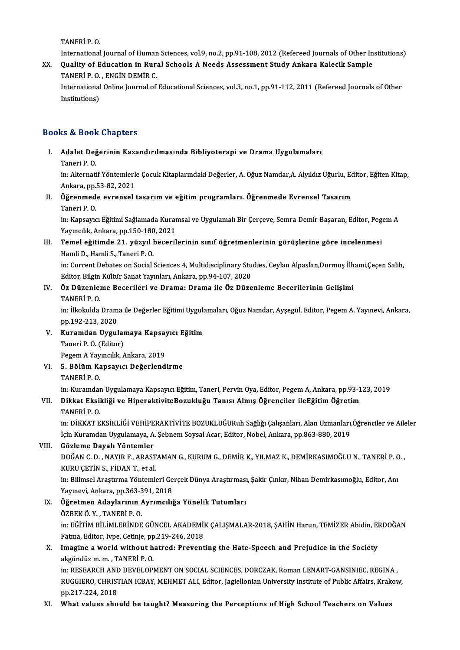TANERİP.O.

TANERİ P. O.<br>International Journal of Human Sciences, vol.9, no.2, pp.91-108, 2012 (Refereed Journals of Other Institutions)<br>Quality of Education in Bunal Schoola A Nooda Assessment Study Ankare Kelesik Sample

TANERİ P. O.<br>International Journal of Human Sciences, vol.9, no.2, pp.91-108, 2012 (Refereed Journals of Other In<br>XX. Quality of Education in Rural Schools A Needs Assessment Study Ankara Kalecik Sample<br>TANERÍ B.O. ENCÍN D International Journal of Human<br>**Quality of Education in Rur**<br>TANERİ P. O. , ENGİN DEMİR C.<br>International Online Journal of Quality of Education in Rural Schools A Needs Assessment Study Ankara Kalecik Sample<br>TANERİ P. O. , ENGİN DEMİR C.<br>International Online Journal of Educational Sciences, vol.3, no.1, pp.91-112, 2011 (Refereed Journals of Ot

TANERİ P. O.<br>International<br>Institutions)

## Institutions)<br>Books & Book Chapters

I. Adalet Değerinin Kazandırılmasında Bibliyoterapi ve Drama Uygulamaları nd alet Deg<br>Adalet Deg<br>Taneri P. O.<br>in: Alternati

Adalet Değerinin Kazandırılmasında Bibliyoterapi ve Drama Uygulamaları<br>Taneri P. O.<br>in: Alternatif Yöntemlerle Çocuk Kitaplarındaki Değerler, A. Oğuz Namdar,A. Alyıldız Uğurlu, Editor, Eğiten Kitap, Taneri P. O.<br>in: Alternatif Yöntemlerl<br>Ankara, pp.53-82, 2021<br>Öğrenmede eyrensel in: Alternatif Yöntemlerle Çocuk Kitaplarındaki Değerler, A. Oğuz Namdar,A. Alyıldız Uğurlu, Ed<br>Ankara, pp.53-82, 2021<br>II. Öğrenmede evrensel tasarım ve eğitim programları. Öğrenmede Evrensel Tasarım<br>Taneri B. O

Ankara, pp.53-82, 2021<br>II. Öğrenmede evrensel tasarım ve eğitim programları. Öğrenmede Evrensel Tasarım<br>Taneri P. O. Öğrenmede evrensel tasarım ve eğitim programları. Öğrenmede Evrensel Tasarım<br>Taneri P. O.<br>in: Kapsayıcı Eğitimi Sağlamada Kuramsal ve Uygulamalı Bir Çerçeve, Semra Demir Başaran, Editor, Pegem A<br>Yaynalık, Ankara, pp.150,19

Taneri P. O.<br>in: Kapsayıcı Eğitimi Sağlamada Kurar<br>Yayıncılık, Ankara, pp.150-180, 2021<br>Tamel eğitimde 21. yüzyıl beseril in: Kapsayıcı Eğitimi Sağlamada Kuramsal ve Uygulamalı Bir Çerçeve, Semra Demir Başaran, Editor, Peg<br>Yayıncılık, Ankara, pp.150-180, 2021<br>III. Temel eğitimde 21. yüzyıl becerilerinin sınıf öğretmenlerinin görüşlerine göre

Yayıncılık, Ankara, pp.150-180, 2021<br>Temel eğitimde 21. yüzyıl becerilerinin sınıf öğretmenlerinin görüşlerine göre incelenmesi<br>Hamli D., Hamli S., Taneri P. O. Temel eğitimde 21. yüzyıl becerilerinin sınıf öğretmenlerinin görüşlerine göre incelenmesi<br>Hamli D., Hamli S., Taneri P. O.<br>in: Current Debates on Social Sciences 4, Multidisciplinary Studies, Ceylan Alpaslan,Durmuş İlhami

Hamli D., Hamli S., Taneri P. O.<br>in: Current Debates on Social Sciences 4, Multidisciplinary Stu<br>Editor, Bilgin Kültür Sanat Yayınları, Ankara, pp.94-107, 2020<br>Öz Düzenlama Baserilari ve Drama: Drama ile Öz Düze in: Current Debates on Social Sciences 4, Multidisciplinary Studies, Ceylan Alpaslan,Durmuş İlh<br>Editor, Bilgin Kültür Sanat Yayınları, Ankara, pp.94-107, 2020<br>IV. Öz Düzenleme Becerileri ve Drama: Drama ile Öz Düzenleme Be

## Editor, Bilgin<br><mark>Öz Düzenle</mark>r<br>TANERİ P. O.<br>in İlkolmlda</mark>

Öz Düzenleme Becerileri ve Drama: Drama ile Öz Düzenleme Becerilerinin Gelişimi<br>TANERİ P. O.<br>in: İlkokulda Drama ile Değerler Eğitimi Uygulamaları, Oğuz Namdar, Ayşegül, Editor, Pegem A. Yayınevi, Ankara,<br>nn 193 212 2020 TANERİ P. O.<br>in: İlkokulda Dram<br>pp.192-213, 2020<br>Kuramdan Hugul in: İlkokulda Drama ile Değerler Eğitimi Uygula<br>pp.192-213, 2020<br>V. Kuramdan Uygulamaya Kapsayıcı Eğitim<br>Taneri B.O. (Editor)

- pp.192-213, 2020<br>**Kuramdan Uygulai**<br>Taneri P. O. (Editor)<br>Pegam A Yaungilir A Kuramdan Uygulamaya Kapsa<br>Taneri P. O. (Editor)<br>Pegem A Yayıncılık, Ankara, 2019<br>E. Bölüm Kansayıcı Doğarland Taneri P. O. (Editor)<br>Pegem A Yayıncılık, Ankara, 2019<br>VI. 95. Bölüm Kapsayıcı Değerlendirme<br>TANERİ B. O
- Pegem A Yay<br>**5. Bölüm Ka<br>TANERİ P. O.**<br>in: Kuramdar TANERİ P. O.<br>in: Kuramdan Uygulamaya Kapsayıcı Eğitim, Taneri, Pervin Oya, Editor, Pegem A, Ankara, pp.93-123, 2019 TANERİ P. O.<br>in: Kuramdan Uygulamaya Kapsayıcı Eğitim, Taneri, Pervin Oya, Editor, Pegem A, Ankara, pp.93-1<br>VII. Dikkat Eksikliği ve HiperaktiviteBozukluğu Tanısı Almış Öğrenciler ileEğitim Öğretim<br>TANEPİ B.O.

## in: Kuramda<mark>ı</mark><br>Dikkat Eksil<br>TANERİ P. O.<br>in: DİKKAT E

Dikkat Eksikliği ve HiperaktiviteBozukluğu Tanısı Almış Öğrenciler ileEğitim Öğretim<br>TANERİ P. O.<br>in: DİKKAT EKSİKLİĞİ VEHİPERAKTİVİTE BOZUKLUĞURuh Sağlığı Çalışanları, Alan Uzmanları,Öğrenciler ve Aileler<br>İsin Kuramdan Uy TANERİ P. O.<br>in: DİKKAT EKSİKLİĞİ VEHİPERAKTİVİTE BOZUKLUĞURuh Sağlığı Çalışanları, Alan Uzmanları,<br>İçin Kuramdan Uygulamaya, A. Şebnem Soysal Acar, Editor, Nobel, Ankara, pp.863-880, 2019<br>Cözleme Dayalı Yöntemler in: DİKKAT EKSİKLİĞİ VEHİPE<br>İçin Kuramdan Uygulamaya, A<br>VIII. Gözleme Dayalı Yöntemler<br>DOĞAN C.D. NAVIB E. ABAST

İçin Kuramdan Uygulamaya, A. Şebnem Soysal Acar, Editor, Nobel, Ankara, pp.863-880, 2019<br>Gözleme Dayalı Yöntemler<br>DOĞAN C. D. , NAYIR F., ARASTAMAN G., KURUM G., DEMİR K., YILMAZ K., DEMİRKASIMOĞLU N., TANERİ P. O. , KURU ÇETİN S., FİDAN T., et al. DOĞAN C. D. , NAYIR F., ARASTAMAN G., KURUM G., DEMİR K., YILMAZ K., DEMİRKASIMOĞLU N., TANERİ P. O<br>KURU ÇETİN S., FİDAN T., et al.<br>in: Bilimsel Araştırma Yöntemleri Gerçek Dünya Araştırması, Şakir Çınkır, Nihan Demirkasım

KURU ÇETİN S., FİDAN T., et al.<br>in: Bilimsel Araştırma Yöntemleri Ge<br>Yayınevi, Ankara, pp.363-391, 2018<br>Öğretmen, Adaylarının Ayrumsılı? IIX. Bilimsel Araştırma Yöntemleri Gerçek Dünya Araştırması<br>Yayınevi, Ankara, pp.363-391, 2018<br>IX. Öğretmen Adaylarının Ayrımcılığa Yönelik Tutumları<br>ÖZPEKÖ V. TANEPİ B.O

Yayınevi, Ankara, pp.363-3<br><mark>Öğretmen Adaylarının /</mark><br>ÖZBEK Ö. Y. , TANERİ P. O.<br>in: EğiTİM PİL İMI EPİNDE ÖZBEK Ö. Y. , TANERİ P. O.<br>in: EĞİTİM BİLİMLERİNDE GÜNCEL AKADEMİK ÇALIŞMALAR-2018, ŞAHİN Harun, TEMİZER Abidin, ERDOĞAN ÖZBEK Ö. Y. , TANERİ P. O.<br>in: EĞİTİM BİLİMLERİNDE GÜNCEL AKADEMİI<br>Fatma, Editor, Ivpe, Cetinje, pp.219-246, 2018<br>Imagine a vvanld without batradı Prayant

## X. Imagine a world without hatred: Preventing the Hate-Speech and Prejudice in the Society Fatma, Editor, Ivpe, Cetinje, pp<br>Imagine a world without h<br>akgündüzm.m. , TANERİ P. O.<br>in: PESEARCH AND DEVELOP Imagine a world without hatred: Preventing the Hate-Speech and Prejudice in the Society<br>akgündüz m. m., TANERİ P. O.<br>in: RESEARCH AND DEVELOPMENT ON SOCIAL SCIENCES, DORCZAK, Roman LENART-GANSINIEC, REGINA ,<br>BUCCIERO CHRIS

akgündüz m. m. , TANERİ P. O.<br>in: RESEARCH AND DEVELOPMENT ON SOCIAL SCIENCES, DORCZAK, Roman LENART-GANSINIEC, REGINA ,<br>RUGGIERO, CHRISTIAN ICBAY, MEHMET ALI, Editor, Jagiellonian University Institute of Public Affairs, K in: RESEARCH AN<mark>L</mark><br>RUGGIERO, CHRIST<br>pp.217-224, 2018<br>What values she RUGGIERO, CHRISTIAN ICBAY, MEHMET ALI, Editor, Jagiellonian University Institute of Public Affairs, Krak<br>pp.217-224, 2018<br>XI. What values should be taught? Measuring the Perceptions of High School Teachers on Values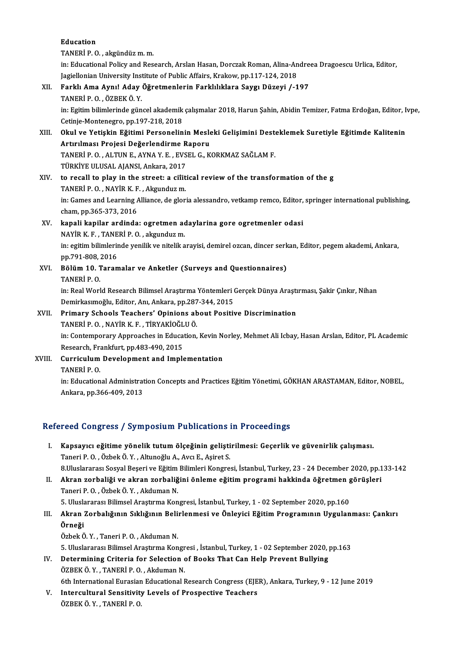Education TANERİP.O. ,akgündüzm.m. in: Educational Policy and Research, Arslan Hasan, Dorczak Roman, Alina-Andreea Dragoescu Urlica, Editor, TANERİ P. O. , akgündüz m. m.<br>in: Educational Policy and Research, Arslan Hasan, Dorczak Roman, Alina-An<br>Jagiellonian University Institute of Public Affairs, Krakow, pp.117-124, 2018<br>Farklı Ama Aupul Adou Öğretmanların Far XII. Farklı Ama Aynı! Aday Öğretmenlerin Farklılıklara Saygı Düzeyi /-197<br>TANERİ P.O., ÖZBEK Ö. Y. Jagiellonian University Inst<br>Farklı <mark>Ama Aynı! Aday</mark><br>TANERİ P. O. , ÖZBEK Ö. Y.<br>in: Egitim bilimlerinde gün Farklı Ama Aynı! Aday Öğretmenlerin Farklılıklara Saygı Düzeyi /-197<br>TANERİ P. O. , ÖZBEK Ö. Y.<br>in: Egitim bilimlerinde güncel akademik çalışmalar 2018, Harun Şahin, Abidin Temizer, Fatma Erdoğan, Editor, Ivpe,<br>Cetinia Man TANERİ P. O. , ÖZBEK Ö. Y.<br>in: Egitim bilimlerinde güncel akademik<br>Cetinje-Montenegro, pp.197-218, 2018<br>Okul ve Vetiskin Eğitimi Barsanalin in: Egitim bilimlerinde güncel akademik çalışmalar 2018, Harun Şahin, Abidin Temizer, Fatma Erdoğan, Editor, I<br>Cetinje-Montenegro, pp.197-218, 2018<br>XIII. Okul ve Yetişkin Eğitimi Personelinin Mesleki Gelişimini Desteklemek Cetinje-Montenegro, pp.197-218, 2018<br>Okul ve Yetişkin Eğitimi Personelinin Mesle<br>Artırılması Projesi Değerlendirme Raporu<br>TANEPİ P.O. ALTIN E. AYNA V. E. EVSEL G. K Okul ve Yetişkin Eğitimi Personelinin Mesleki Gelişimini Dest<br>Artırılması Projesi Değerlendirme Raporu<br>TANERİ P. O. , ALTUN E., AYNA Y. E. , EVSEL G., KORKMAZ SAĞLAM F.<br>TÜRKİVE III USAL ALANSL ARkara 2017 Artırılması Projesi Değerlendirme R<br>TANERİ P. O. , ALTUN E., AYNA Y. E. , EVS<br>TÜRKİYE ULUSAL AJANSI, Ankara, 2017<br>te regell te play in the street: e. si<sup>ş</sup>iti TANERİ P. O. , ALTUN E., AYNA Y. E. , EVSEL G., KORKMAZ SAĞLAM F.<br>TÜRKİYE ULUSAL AJANSI, Ankara, 2017<br>XIV. to recall to play in the street: a ciîitical review of the transformation of the g TÜRKİYE ULUSAL AJANSI, Ankara, 2017<br>to recall to play in the street: a ciîit<br>TANERİ P. O. , NAYİR K. F. , Akgunduzm.<br>in: Games and Learning Allianes, de glar in: Games and Learning Alliance, de gloria alessandro, vetkamp remco, Editor, springer international publishing, cham, pp.365-373, 2016 TANERİ P. O. , NAYİR K. F<br>in: Games and Learning /<br>cham, pp.365-373, 2016<br>kanali kanilar andinda in: Games and Learning Alliance, de gloria alessandro, vetkamp remco, Editor,<br>cham, pp.365-373, 2016<br>XV. kapali kapilar ardinda: ogretmen adaylarina gore ogretmenler odasi<br>NAXIB K.E., TANEBLB.O., okrambur m cham, pp.365-373, 2016<br><mark>kapali kapilar ardinda: ogretmen ac</mark><br>NAYİR K. F. , TANERİ P. O. , akgunduz m.<br>in: ozitim bilimlerinde yenilik ve nitelik e kapali kapilar ardinda: ogretmen adaylarina gore ogretmenler odasi<br>NAYİR K. F. , TANERİ P. O. , akgunduz m.<br>in: egitim bilimlerinde yenilik ve nitelik arayisi, demirel ozcan, dincer serkan, Editor, pegem akademi, Ankara,<br>n NAYİR K.F., TANE<br>in: egitim bilimlerir<br>pp.791-808, 2016<br>Pālām 10. Tanar XVI. Bölüm 10. Taramalar ve Anketler (Surveys and Questionnaires)<br>TANERİ P. O. pp.791-808, 2016 Bölüm 10. Taramalar ve Anketler (Surveys and Questionnaires)<br>TANERİ P. O.<br>in: Real World Research Bilimsel Araştırma Yöntemleri Gerçek Dünya Araştırması, Şakir Çınkır, Nihan<br>Domirkasımoğlu, Editor, Ant Ankara, np.297,244,2 TANERİ P. O.<br>in: Real World Research Bilimsel Araştırma Yöntemleri (<br>Demirkasımoğlu, Editor, Anı, Ankara, pp.287-344, 2015<br>Primary Schools Teashers' Oninions about Positii in: Real World Research Bilimsel Araştırma Yöntemleri Gerçek Dünya Araştı<br>Demirkasımoğlu, Editor, Anı, Ankara, pp.287-344, 2015<br>XVII. Primary Schools Teachers' Opinions about Positive Discrimination<br>TANERI B.O. NAVİRKE, Tİ Demirkasımoğlu, Editor, Anı, Ankara, pp.287-344, 2015<br>XVII. Primary Schools Teachers' Opinions about Positive Discrimination<br>TANERİ P. O., NAYİR K. F., TİRYAKİOĞLUÖ. Primary Schools Teachers' Opinions about Positive Discrimination<br>TANERİ P. O. , NAYİR K. F. , TİRYAKİOĞLU Ö.<br>in: Contemporary Approaches in Education, Kevin Norley, Mehmet Ali Icbay, Hasan Arslan, Editor, PL Academic<br>Besea TANERİ P. O. , NAYİR K. F. , TİRYAKİOĞL<br>in: Contemporary Approaches in Educa<br>Research, Frankfurt, pp.483-490, 2015<br>Currisulum Dovelonment and Imple in: Contemporary Approaches in Education, Kevin No<br>Research, Frankfurt, pp.483-490, 2015<br>XVIII. Curriculum Development and Implementation<br>TANERLE O Research, Fr.<br>Curriculum<br>TANERİ P. O.<br>in: Education

TANERİ P. O.<br>in: Educational Administration Concepts and Practices Eğitim Yönetimi, GÖKHAN ARASTAMAN, Editor, NOBEL, Ankara, pp.366-409, 2013

## Refereed Congress / Symposium Publications in Proceedings

- I. Kapsayıcı eğitime yönelik tutumölçeğinin geliştirilmesi: Geçerlik ve güvenirlik çalışması. TaneriP.O. ,ÖzbekÖ.Y. ,AltunoğluA.,AvcıE.,AşiretS. Kapsayıcı eğitime yönelik tutum ölçeğinin geliştirilmesi: Geçerlik ve güvenirlik çalışması.<br>Taneri P. O. , Özbek Ö. Y. , Altunoğlu A., Avcı E., Aşiret S.<br>8.Uluslararası Sosyal Beşeri ve Eğitim Bilimleri Kongresi, İstanbul, Taneri P. O. , Özbek Ö. Y. , Altunoğlu A., Avcı E., Aşiret S.<br>8.Uluslararası Sosyal Beşeri ve Eğitim Bilimleri Kongresi, İstanbul, Turkey, 23 - 24 December 2020, pp.1<br>II. Akran zorbaliği ve akran zorbaliğini önleme eğitim
- 8.Uluslararası Sosyal Beşeri ve Eğitim<br><mark>Akran zorbaliği ve akran zorbaliğ</mark><br>Taneri P. O. , Özbek Ö. Y. , Akduman N.<br>5. Uluslararası Bilimsel Arastırma Kon II. Akran zorbaliği ve akran zorbaliğini önleme eğitim programi hakkinda öğretmen görüşleri<br>Taneri P. O., Özbek Ö. Y., Akduman N. 5. Uluslararası Bilimsel Araştırma Kongresi, İstanbul, Turkey, 1 - 02 September 2020, pp.160
- III. Akran Zorbalığının Sıklığının Belirlenmesi ve Önleyici Eğitim Programının Uygulanması: Çankırı<br>Örneği

Özbek Ö.Y., Taneri P.O., Akduman N. 5.UluslararasıBilimselAraştırmaKongresi , İstanbul,Turkey,1 -02 September 2020,pp.163

Özbek Ö. Y. , Taneri P. O. , Akduman N.<br>5. Uluslararası Bilimsel Araştırma Kongresi , İstanbul, Turkey, 1 - 02 September 2020, <sub>J</sub><br>IV. Determining Criteria for Selection of Books That Can Help Prevent Bullying<br>ÖZPEK Ö. V. 5. Uluslararası Bilimsel Araştırma Kongr<br>Determining Criteria for Selection<br>ÖZBEK Ö. Y. , TANERİ P. O. , Akduman N.<br>Eth International Eurosian Educational I ÖZBEK Ö. Y. , TANERİ P. O. , Akduman N.<br>6th International Eurasian Educational Research Congress (EJER), Ankara, Turkey, 9 - 12 June 2019

ÖZBEK Ö. Y. , TANERİ P. O. , Akduman N.<br>6th International Eurasian Educational Research Congress (EJE<br>V. Intercultural Sensitivity Levels of Prospective Teachers<br>ÖZPEK Ö. V. TANERİ B. O. 6th International Eurasiar<br>I<mark>ntercultural Sensitivit</mark><br>ÖZBEK Ö. Y. , TANERİ P. O.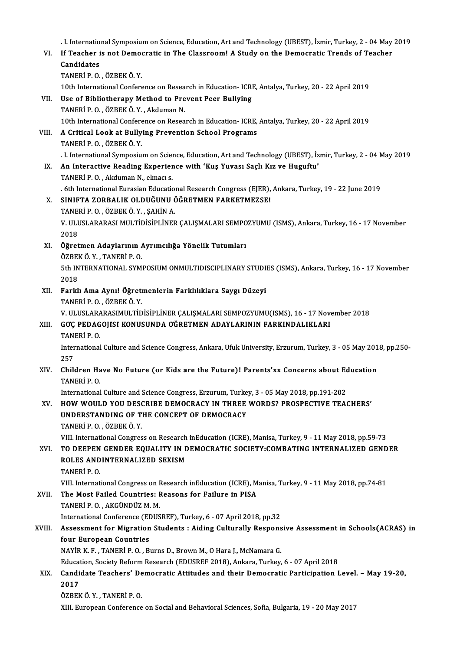|        | I. International Symposium on Science, Education, Art and Technology (UBEST), İzmir, Turkey, 2 - 04 May 2019   |
|--------|----------------------------------------------------------------------------------------------------------------|
| VI.    | If Teacher is not Democratic in The Classroom! A Study on the Democratic Trends of Teacher<br>Candidates       |
|        | TANERİ P.O., ÖZBEK Ö.Y.                                                                                        |
|        | 10th International Conference on Research in Education- ICRE, Antalya, Turkey, 20 - 22 April 2019              |
| VII.   | Use of Bibliotherapy Method to Prevent Peer Bullying                                                           |
|        | TANERİ P.O., ÖZBEK Ö.Y., Akduman N.                                                                            |
|        | 10th International Conference on Research in Education-ICRE, Antalya, Turkey, 20 - 22 April 2019               |
| VIII.  | A Critical Look at Bullying Prevention School Programs                                                         |
|        | TANERİ P.O., ÖZBEK Ö.Y.                                                                                        |
|        | I. International Symposium on Science, Education, Art and Technology (UBEST), İzmir, Turkey, 2 - 04 May 2019   |
| IX.    | An Interactive Reading Experience with 'Kuş Yuvası Saçlı Kız ve Huguftu'                                       |
|        | TANERİ P.O., Akduman N., elmacı s.                                                                             |
|        | . 6th International Eurasian Educational Research Congress (EJER), Ankara, Turkey, 19 - 22 June 2019           |
| X.     | SINIFTA ZORBALIK OLDUĞUNU ÖĞRETMEN FARKETMEZSE!                                                                |
|        | TANERİ P.O., ÖZBEK Ö.Y., ŞAHİN A.                                                                              |
|        | V. ULUSLARARASI MULTIDISIPLINER ÇALIŞMALARI SEMPOZYUMU (ISMS), Ankara, Turkey, 16 - 17 November                |
|        | 2018                                                                                                           |
| XI.    | Öğretmen Adaylarının Ayrımcılığa Yönelik Tutumları                                                             |
|        | ÖZBEK Ö.Y., TANERİ P.O.                                                                                        |
|        | 5th INTERNATIONAL SYMPOSIUM ONMULTIDISCIPLINARY STUDIES (ISMS), Ankara, Turkey, 16 - 17 November<br>2018       |
| XII.   | Farklı Ama Aynı! Öğretmenlerin Farklılıklara Saygı Düzeyi                                                      |
|        | TANERİ P.O., ÖZBEK Ö.Y.                                                                                        |
|        | V. ULUSLARARASIMULTIDISIPLINER ÇALIŞMALARI SEMPOZYUMU(ISMS), 16 - 17 November 2018                             |
| XIII.  | GOÇ PEDAGOJISI KONUSUNDA OĞRETMEN ADAYLARININ FARKINDALIKLARI                                                  |
|        | TANERİ P.O.                                                                                                    |
|        | International Culture and Science Congress, Ankara, Ufuk University, Erzurum, Turkey, 3 - 05 May 2018, pp.250- |
|        | 257                                                                                                            |
| XIV.   | Children Have No Future (or Kids are the Future)! Parents'xx Concerns about Education                          |
|        | TANERI P.O.                                                                                                    |
|        | International Culture and Science Congress, Erzurum, Turkey, 3 - 05 May 2018, pp.191-202                       |
| XV.    | HOW WOULD YOU DESCRIBE DEMOCRACY IN THREE WORDS? PROSPECTIVE TEACHERS'                                         |
|        | UNDERSTANDING OF THE CONCEPT OF DEMOCRACY                                                                      |
|        | TANERI P.O., ÖZBEK Ö.Y.                                                                                        |
|        | VIII. International Congress on Research inEducation (ICRE), Manisa, Turkey, 9 - 11 May 2018, pp.59-73         |
| XVI.   | TO DEEPEN GENDER EQUALITY IN DEMOCRATIC SOCIETY: COMBATING INTERNALIZED GENDER                                 |
|        | ROLES ANDINTERNALIZED SEXISM<br>TANERI P.O.                                                                    |
|        | VIII. International Congress on Research inEducation (ICRE), Manisa, Turkey, 9 - 11 May 2018, pp.74-81         |
| XVII.  | The Most Failed Countries: Reasons for Failure in PISA                                                         |
|        | TANERİ P.O., AKGÜNDÜZ M.M.                                                                                     |
|        | International Conference (EDUSREF), Turkey, 6 - 07 April 2018, pp.32                                           |
| XVIII. | Assessment for Migration Students : Aiding Culturally Responsive Assessment in Schools(ACRAS) in               |
|        | four European Countries                                                                                        |
|        | NAYİR K. F., TANERİ P. O., Burns D., Brown M., O Hara J., McNamara G.                                          |
|        | Education, Society Reform Research (EDUSREF 2018), Ankara, Turkey, 6 - 07 April 2018                           |
| XIX.   | Candidate Teachers' Democratic Attitudes and their Democratic Participation Level. - May 19-20,                |
|        | 2017                                                                                                           |
|        | ÖZBEK Ö.Y., TANERİ P.O.                                                                                        |
|        | XIII. European Conference on Social and Behavioral Sciences, Sofia, Bulgaria, 19 - 20 May 2017                 |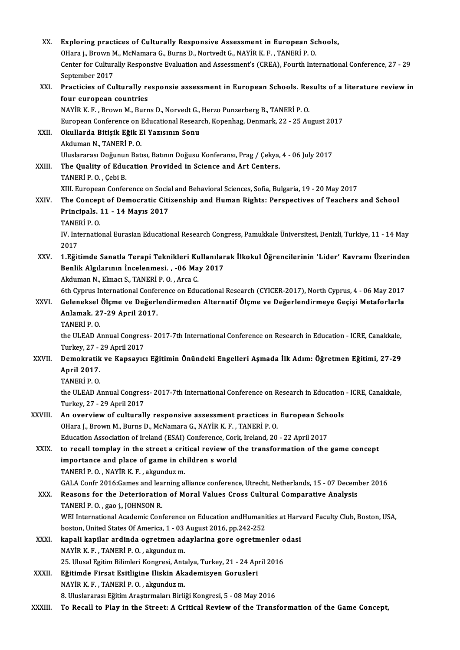| XX.          | Exploring practices of Culturally Responsive Assessment in European Schools,                                                           |
|--------------|----------------------------------------------------------------------------------------------------------------------------------------|
|              | OHara j., Brown M., McNamara G., Burns D., Nortvedt G., NAYİR K. F., TANERİ P. O.                                                      |
|              | Center for Culturally Responsive Evaluation and Assessment's (CREA), Fourth International Conference, 27 - 29<br>September 2017        |
| XXI.         | Practicies of Culturally responsie assessment in European Schools. Results of a literature review in<br>four european countries        |
|              | NAYİR K. F., Brown M., Burns D., Norvedt G., Herzo Punzerberg B., TANERİ P. O.                                                         |
|              | European Conference on Educational Research, Kopenhag, Denmark, 22 - 25 August 2017                                                    |
| XXII.        | Okullarda Bitişik Eğik El Yazısının Sonu                                                                                               |
|              | Akduman N, TANERİ P O                                                                                                                  |
|              | Uluslararası Doğunun Batısı, Batının Doğusu Konferansı, Prag / Çekya, 4 - 06 July 2017                                                 |
| XXIII.       | The Quality of Education Provided in Science and Art Centers.<br>TANERI P.O., Çebi B.                                                  |
|              | XIII. European Conference on Social and Behavioral Sciences, Sofia, Bulgaria, 19 - 20 May 2017                                         |
| XXIV.        | The Concept of Democratic Citizenship and Human Rights: Perspectives of Teachers and School                                            |
|              | Principals. 11 - 14 Mayıs 2017<br>TANERİ P.O.                                                                                          |
|              | IV. International Eurasian Educational Research Congress, Pamukkale Üniversitesi, Denizli, Turkiye, 11 - 14 May<br>2017                |
| XXV.         | 1. Eğitimde Sanatla Terapi Teknikleri Kullanılarak İlkokul Öğrencilerinin 'Lider' Kavramı Üzerinden                                    |
|              | Benlik Algılarının İncelenmesi., -06 May 2017                                                                                          |
|              | Akduman N., Elmacı S., TANERİ P. O., Arca C.                                                                                           |
|              | 6th Cyprus International Conference on Educational Research (CYICER-2017), North Cyprus, 4 - 06 May 2017                               |
| XXVI.        | Geleneksel Ölçme ve Değerlendirmeden Alternatif Ölçme ve Değerlendirmeye Geçişi Metaforlarla                                           |
|              | Anlamak. 27-29 April 2017.                                                                                                             |
|              | TANERİ P.O.                                                                                                                            |
|              | the ULEAD Annual Congress-2017-7th International Conference on Research in Education - ICRE, Canakkale,                                |
|              | Turkey, 27 - 29 April 2017                                                                                                             |
| <b>XXVII</b> | Demokratik ve Kapsayıcı Eğitimin Önündeki Engelleri Aşmada İlk Adım: Öğretmen Eğitimi, 27-29                                           |
|              | April 2017<br><b>TANERİ P.O.</b>                                                                                                       |
|              |                                                                                                                                        |
|              | the ULEAD Annual Congress- 2017-7th International Conference on Research in Education - ICRE, Canakkale,<br>Turkey, 27 - 29 April 2017 |
| XXVIII.      | An overview of culturally responsive assessment practices in European Schools                                                          |
|              | OHara J., Brown M., Burns D., McNamara G., NAYİR K. F., TANERİ P. O.                                                                   |
|              | Education Association of Ireland (ESAI) Conference, Cork, Ireland, 20 - 22 April 2017                                                  |
| XXIX.        | to recall tomplay in the street a critical review of the transformation of the game concept                                            |
|              | importance and place of game in children s world                                                                                       |
|              | TANERİ P.O., NAYİR K.F., akgunduz m.                                                                                                   |
|              | GALA Confr 2016:Games and learning alliance conference, Utrecht, Netherlands, 15 - 07 December 2016                                    |
| XXX.         | Reasons for the Deterioration of Moral Values Cross Cultural Comparative Analysis<br>TANERI P.O., gao j., JOHNSON R.                   |
|              | WEI International Academic Conference on Education andHumanities at Harvard Faculty Club, Boston, USA,                                 |
|              | boston, United States Of America, 1 - 03 August 2016, pp.242-252                                                                       |
| XXXI.        | kapali kapilar ardinda ogretmen adaylarina gore ogretmenler odasi                                                                      |
|              | NAYİR K.F., TANERİ P.O., akgunduz m.                                                                                                   |
|              | 25. Ulusal Egitim Bilimleri Kongresi, Antalya, Turkey, 21 - 24 April 2016                                                              |
| <b>XXXII</b> | Eğitimde Firsat Esitligine Iliskin Akademisyen Gorusleri                                                                               |
|              | NAYİR K. F., TANERİ P. O., akgunduz m.                                                                                                 |
|              | 8. Uluslararası Eğitim Araştırmaları Birliği Kongresi, 5 - 08 May 2016                                                                 |
| XXXIII.      | To Recall to Play in the Street: A Critical Review of the Transformation of the Game Concept,                                          |
|              |                                                                                                                                        |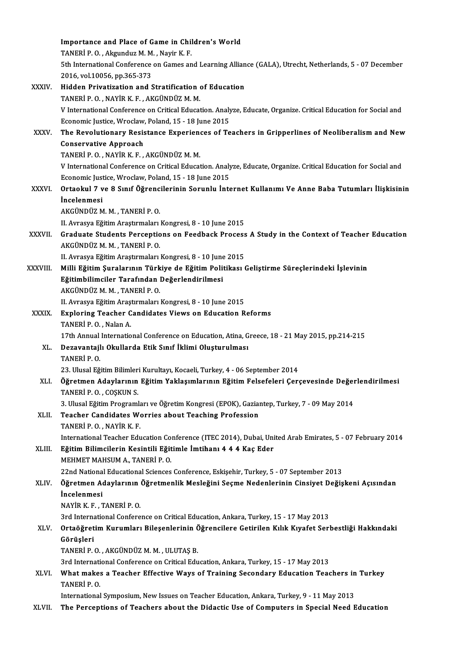|              | Importance and Place of Game in Children's World                                                                                     |
|--------------|--------------------------------------------------------------------------------------------------------------------------------------|
|              | TANERİ P.O., Akgunduz M.M., Nayir K.F.                                                                                               |
|              | 5th International Conference on Games and Learning Alliance (GALA), Utrecht, Netherlands, 5 - 07 December                            |
|              | 2016, vol 10056, pp.365-373                                                                                                          |
| XXXIV.       | Hidden Privatization and Stratification of Education                                                                                 |
|              | TANERİ P.O., NAYİR K.F., AKGÜNDÜZ M.M.                                                                                               |
|              | V International Conference on Critical Education. Analyze, Educate, Organize. Critical Education for Social and                      |
|              | Economic Justice, Wroclaw, Poland, 15 - 18 June 2015                                                                                 |
| XXXV.        | The Revolutionary Resistance Experiences of Teachers in Gripperlines of Neoliberalism and New                                        |
|              | <b>Conservative Approach</b>                                                                                                         |
|              | TANERİ P.O., NAYİR K.F., AKGÜNDÜZ M.M.                                                                                               |
|              | V International Conference on Critical Education. Analyze, Educate, Organize. Critical Education for Social and                      |
|              | Economic Justice, Wroclaw, Poland, 15 - 18 June 2015                                                                                 |
| XXXVI.       | Ortaokul 7 ve 8 Sınıf Öğrencilerinin Sorunlu İnternet Kullanımı Ve Anne Baba Tutumları İlişkisinin                                   |
|              | <i>incelenmesi</i>                                                                                                                   |
|              | AKGÜNDÜZ M. M., TANERİ P. O.                                                                                                         |
|              | II. Avrasya Eğitim Araştırmaları Kongresi, 8 - 10 June 2015                                                                          |
| XXXVII.      | Graduate Students Perceptions on Feedback Process A Study in the Context of Teacher Education                                        |
|              | AKGÜNDÜZ M. M., TANERİ P. O.                                                                                                         |
|              | II. Avrasya Eğitim Araştırmaları Kongresi, 8 - 10 June 2015                                                                          |
| XXXVIII.     | Milli Eğitim Şuralarının Türkiye de Eğitim Politikası Geliştirme Süreçlerindeki İşlevinin                                            |
|              | Eğitimbilimciler Tarafından Değerlendirilmesi                                                                                        |
|              | AKGÜNDÜZ M. M., TANERİ P. O.                                                                                                         |
|              | II. Avrasya Eğitim Araştırmaları Kongresi, 8 - 10 June 2015                                                                          |
| <b>XXXIX</b> | <b>Exploring Teacher Candidates Views on Education Reforms</b>                                                                       |
|              | TANERI P.O., Nalan A.                                                                                                                |
|              | 17th Annual International Conference on Education, Atina, Greece, 18 - 21 May 2015, pp.214-215                                       |
| XL.          | Dezavantajlı Okullarda Etik Sınıf İklimi Oluşturulması                                                                               |
|              | TANERI P.O.                                                                                                                          |
|              | 23. Ulusal Eğitim Bilimleri Kurultayı, Kocaeli, Turkey, 4 - 06 September 2014                                                        |
| XLI.         | Öğretmen Adaylarının Eğitim Yaklaşımlarının Eğitim Felsefeleri Çerçevesinde Değerlendirilmesi                                        |
|              | TANERI P O , COSKUN S                                                                                                                |
|              | 3. Ulusal Eğitim Programları ve Öğretim Kongresi (EPOK), Gaziantep, Turkey, 7 - 09 May 2014                                          |
| XLII.        | Teacher Candidates Worries about Teaching Profession                                                                                 |
|              | TANERI P.O., NAYIR K.F.<br>International Teacher Education Conference (ITEC 2014), Dubai, United Arab Emirates, 5 - 07 February 2014 |
| XLIII.       | Eğitim Bilimcilerin Kesintili Eğitimle İmtihanı 4 4 4 Kaç Eder                                                                       |
|              | MEHMET MAHSUM A., TANERİ P. O.                                                                                                       |
|              | 22nd National Educational Sciences Conference, Eskişehir, Turkey, 5 - 07 September 2013                                              |
| XLIV.        | Öğretmen Adaylarının Öğretmenlik Mesleğini Seçme Nedenlerinin Cinsiyet Değişkeni Açısından                                           |
|              | <i>incelenmesi</i>                                                                                                                   |
|              | NAYİR K F , TANERİ P O                                                                                                               |
|              | 3rd International Conference on Critical Education, Ankara, Turkey, 15 - 17 May 2013                                                 |
| XLV.         | Ortaöğretim Kurumları Bileşenlerinin Öğrencilere Getirilen Kılık Kıyafet Serbestliği Hakkındaki                                      |
|              | Görüşleri                                                                                                                            |
|              | TANERİ P.O., AKGÜNDÜZ M.M., ULUTAŞ B.                                                                                                |
|              | 3rd International Conference on Critical Education, Ankara, Turkey, 15 - 17 May 2013                                                 |
| XLVI.        | What makes a Teacher Effective Ways of Training Secondary Education Teachers in Turkey                                               |
|              | TANERI P.O.                                                                                                                          |
|              | International Symposium, New Issues on Teacher Education, Ankara, Turkey, 9 - 11 May 2013                                            |
| XLVII.       | The Perceptions of Teachers about the Didactic Use of Computers in Special Need Education                                            |
|              |                                                                                                                                      |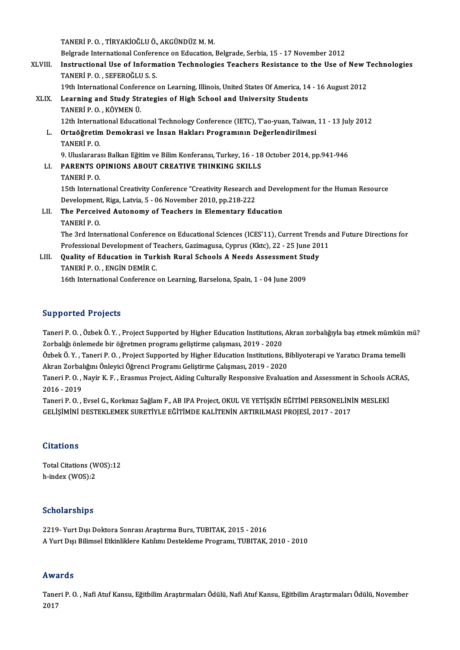TANERİP.O., TİRYAKİOĞLUÖ., AKGÜNDÜZM.M.

TANERİ P. O. , TİRYAKİOĞLU Ö., AKGÜNDÜZ M. M.<br>Belgrade International Conference on Education, Belgrade, Serbia, 15 - 17 November 2012<br>Instructional Hae of Information Technologies Teachers Besistanes to the Hae of

XLVIII. Instructional Use of Information Technologies Teachers Resistance to the Use of New Technologies<br>TANERI P.O..SEFEROGLUS.S. Belgrade International Confere<br>Instructional Use of Inform<br>TANERİ P. O. , SEFEROĞLU S. S.<br>10th International Conference Instructional Use of Information Technologies Teachers Resistance to the Use of New 1<br>TANERİ P. O. , SEFEROĞLU S. S.<br>19th International Conference on Learning, Illinois, United States Of America, 14 - 16 August 2012<br>Learni

XLIX. Learning and Study Strategies of High School and University Students 19th International Conference<br>Learning and Study Stree<br>TANERİP.O., KÖYMEN Ü. 12th InternationalEducationalTechnologyConference (IETC),T'ao-yuan,Taiwan,11 -13 July2012 TANERİ P. O. , KÖYMEN Ü.<br>12th International Educational Technology Conference (IETC), T'ao-yuan, Taiwan,<br>L. Ortaöğretim Demokrasi ve İnsan Hakları Programının Değerlendirilmesi<br>TANERİ B. O. 12th Internat<br>Ortaöğretin<br>TANERİP. O. Ortaöğretim Demokrasi ve İnsan Hakları Programının Değerlendirilmesi<br>TANERİ P. O.<br>9. Uluslararası Balkan Eğitim ve Bilim Konferansı, Turkey, 16 - 18 October 2014, pp.941-946<br>RARENTS ORINIONS AROUT CREATIVE THINKING SKU I S TANERİ P. O.<br>9. Uluslararası Balkan Eğitim ve Bilim Konferansı, Turkey, 16 - 18<br>LI. PARENTS OPINIONS ABOUT CREATIVE THINKING SKILLS<br>TANERİ B. O. 9. Uluslarara<br>PARENTS O<br>TANERİ P. O.<br>15th Internat PARENTS OPINIONS ABOUT CREATIVE THINKING SKILLS<br>TANERI P. O.<br>15th International Creativity Conference "Creativity Research and Development for the Human Resource<br>Pevelopment Riga Latvie 5 . 06 Nevember 2010, pp 218 222. TANERİ P. O.<br>15th International Creativity Conference "Creativity Research a<br>Development, Riga, Latvia, 5 - 06 November 2010, pp.218-222<br>The Berseived Autenemy of Teachers in Flementery Ed: 15th International Creativity Conference "Creativity Research and Devel<br>Development, Riga, Latvia, 5 - 06 November 2010, pp.218-222<br>LII. The Perceived Autonomy of Teachers in Elementary Education<br>TANERLE O Development, Riga, Latvia, 5 - 06 November 2010, pp.218-222<br>The Perceived Autonomy of Teachers in Elementary Education<br>TANERİ P. O. The 3rd International Conference on Educational Sciences (ICES'11), Current Trends and Future Directions for TANERÍ P. O.<br>The 3rd International Conference on Educational Sciences (ICES'11), Current Trends a<br>Professional Development of Teachers, Gazimagusa, Cyprus (Kktc), 22 - 25 June 2011<br>Quality of Education in Turkish Bural Sch

The 3rd International Conference on Educational Sciences (ICES'11), Current Trenc<br>Professional Development of Teachers, Gazimagusa, Cyprus (Kktc), 22 - 25 June 20<br>LIII. Quality of Education in Turkish Rural Schools A Needs Professional Development of T<br>Quality of Education in Turl<br>TANERİ P. O. , ENGİN DEMİR C.<br>16th International Conference LIII. Quality of Education in Turkish Rural Schools A Needs Assessment Study<br>TANERI P.O., ENGIN DEMIR C.<br>16th International Conference on Learning, Barselona, Spain, 1 - 04 June 2009

## Supported Projects

Supported Projects<br>Taneri P. O. , Özbek Ö. Y. , Project Supported by Higher Education Institutions, Akran zorbalığıyla baş etmek mümkün mü?<br>Zarbalığı önlamade bir öğretmen programı geliştirme salışması, 2019, 2020 Zapportem 11998es<br>Taneri P. O. , Özbek Ö. Y. , Project Supported by Higher Education Institutions,<br>Zorbalığı önlemede bir öğretmen programı geliştirme çalışması, 2019 - 2020<br>Özbek Ö. Y. "Taneri B. O., Project Supported by Taneri P. O. , Özbek Ö. Y. , Project Supported by Higher Education Institutions, Akran zorbalığıyla baş etmek mümkün<br>Zorbalığı önlemede bir öğretmen programı geliştirme çalışması, 2019 - 2020<br>Özbek Ö. Y. , Taneri P. O. , P

Zorbalığı önlemede bir öğretmen programı geliştirme çalışması, 2019 - 2020<br>Özbek Ö. Y. , Taneri P. O. , Project Supported by Higher Education Institutions, B<br>Akran Zorbalığını Önleyici Öğrenci Programı Geliştirme Çalışması Özbek Ö. Y. , Taneri P. O. , Project Supported by Higher Education Institutions, Bibliyoterapi ve Yaratıcı Drama temelli<br>Akran Zorbalığını Önleyici Öğrenci Programı Geliştirme Çalışması, 2019 - 2020<br>Taneri P. O. , Nayir K.

Akran Zorbal<br>Taneri P. O. ,<br>2016 - 2019<br>Taneri B. O. Taneri P. O. , Nayir K. F. , Erasmus Project, Aiding Culturally Responsive Evaluation and Assessment in Schools A<br>2016 - 2019<br>Taneri P. O. , Evsel G., Korkmaz Sağlam F., AB IPA Project, OKUL VE YETİŞKİN EĞİTİMİ PERSONELİNİ

2016 - 2019<br>Taneri P. O. , Evsel G., Korkmaz Sağlam F., AB IPA Project, OKUL VE YETİŞKİN EĞİTİMİ PERSONELİNİ<br>GELİŞİMİNİ DESTEKLEMEK SURETİYLE EĞİTİMDE KALİTENİN ARTIRILMASI PROJESİ, 2017 - 2017 GELİŞİMİNİ DESTEKLEMEK SURETİYLE EĞİTİMDE KALİTENİN ARTIRILMASI PROJESİ, 2017 - 2017<br>Citations

Total Citations (WOS):12 h-index (WOS):2

### Scholarships

S<mark>cholarships</mark><br>2219- Yurt Dışı Doktora Sonrası Araştırma Burs, TUBITAK, 2015 - 2016<br>A Yurt Dışı Bilimcel Etkinliklere Katılımı Destaklama Buesnamı, TUBITAK Benotar Birrpe<br>2219- Yurt Dışı Doktora Sonrası Araştırma Burs, TUBITAK, 2015 - 2016<br>A Yurt Dışı Bilimsel Etkinliklere Katılımı Destekleme Programı, TUBITAK, 2010 - 2010 A Yurt Dışı Bilimsel Etkinliklere Katılımı Destekleme Programı, TUBITAK, 2010 - 2010<br>Awards

**Awards**<br>Taneri P. O. , Nafi Atuf Kansu, Eğitbilim Araştırmaları Ödülü, Nafi Atuf Kansu, Eğitbilim Araştırmaları Ödülü, November<br>2017 **2017**<br>Tane:<br>2017